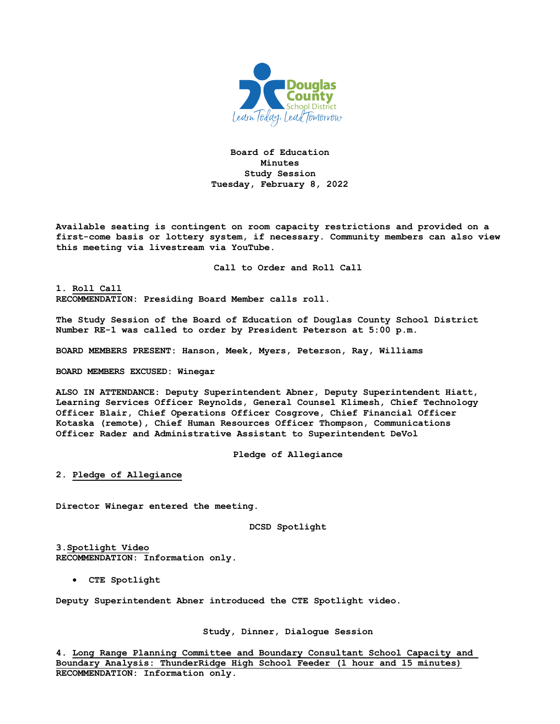

**Board of Education Minutes Study Session Tuesday, February 8, 2022** 

**Available seating is contingent on room capacity restrictions and provided on a first-come basis or lottery system, if necessary. Community members can also view this meeting via livestream via YouTube.** 

**Call to Order and Roll Call**

**1. Roll Call RECOMMENDATION: Presiding Board Member calls roll.**

**The Study Session of the Board of Education of Douglas County School District Number RE-1 was called to order by President Peterson at 5:00 p.m.**

**BOARD MEMBERS PRESENT: Hanson, Meek, Myers, Peterson, Ray, Williams**

**BOARD MEMBERS EXCUSED: Winegar**

**ALSO IN ATTENDANCE: Deputy Superintendent Abner, Deputy Superintendent Hiatt, Learning Services Officer Reynolds, General Counsel Klimesh, Chief Technology Officer Blair, Chief Operations Officer Cosgrove, Chief Financial Officer Kotaska (remote), Chief Human Resources Officer Thompson, Communications Officer Rader and Administrative Assistant to Superintendent DeVol**

**Pledge of Allegiance**

**2. Pledge of Allegiance**

**Director Winegar entered the meeting.**

**DCSD Spotlight**

**3.Spotlight Video RECOMMENDATION: Information only.**

• **CTE Spotlight**

**Deputy Superintendent Abner introduced the CTE Spotlight video.** 

**Study, Dinner, Dialogue Session**

**4. Long Range Planning Committee and Boundary Consultant School Capacity and Boundary Analysis: ThunderRidge High School Feeder (1 hour and 15 minutes) RECOMMENDATION: Information only.**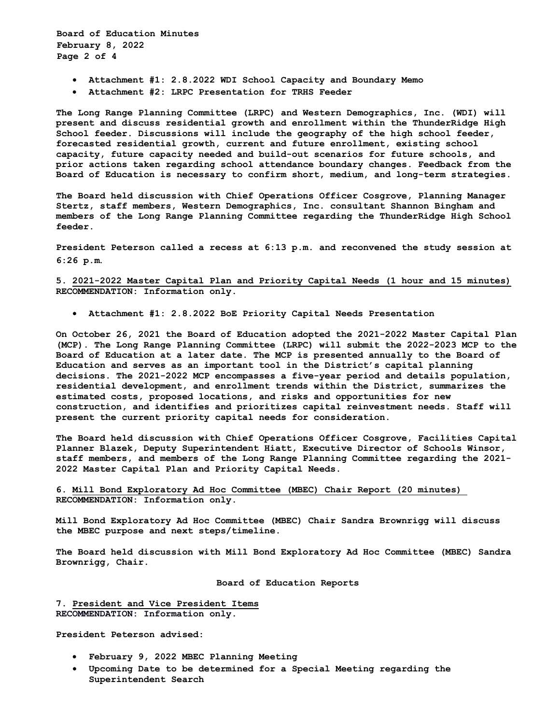**Board of Education Minutes February 8, 2022 Page 2 of 4** 

- **Attachment #1: 2.8.2022 WDI School Capacity and Boundary Memo**
- **Attachment #2: LRPC Presentation for TRHS Feeder**

**The Long Range Planning Committee (LRPC) and Western Demographics, Inc. (WDI) will present and discuss residential growth and enrollment within the ThunderRidge High School feeder. Discussions will include the geography of the high school feeder, forecasted residential growth, current and future enrollment, existing school capacity, future capacity needed and build-out scenarios for future schools, and prior actions taken regarding school attendance boundary changes. Feedback from the Board of Education is necessary to confirm short, medium, and long-term strategies.** 

**The Board held discussion with Chief Operations Officer Cosgrove, Planning Manager Stertz, staff members, Western Demographics, Inc. consultant Shannon Bingham and members of the Long Range Planning Committee regarding the ThunderRidge High School feeder.** 

**President Peterson called a recess at 6:13 p.m. and reconvened the study session at 6:26 p.m**.

**5. 2021-2022 Master Capital Plan and Priority Capital Needs (1 hour and 15 minutes) RECOMMENDATION: Information only.**

• **Attachment #1: 2.8.2022 BoE Priority Capital Needs Presentation**

**On October 26, 2021 the Board of Education adopted the 2021-2022 Master Capital Plan (MCP). The Long Range Planning Committee (LRPC) will submit the 2022-2023 MCP to the Board of Education at a later date. The MCP is presented annually to the Board of Education and serves as an important tool in the District's capital planning decisions. The 2021-2022 MCP encompasses a five-year period and details population, residential development, and enrollment trends within the District, summarizes the estimated costs, proposed locations, and risks and opportunities for new construction, and identifies and prioritizes capital reinvestment needs. Staff will present the current priority capital needs for consideration.** 

**The Board held discussion with Chief Operations Officer Cosgrove, Facilities Capital Planner Blazek, Deputy Superintendent Hiatt, Executive Director of Schools Winsor, staff members, and members of the Long Range Planning Committee regarding the 2021- 2022 Master Capital Plan and Priority Capital Needs.** 

**6. Mill Bond Exploratory Ad Hoc Committee (MBEC) Chair Report (20 minutes) RECOMMENDATION: Information only.** 

**Mill Bond Exploratory Ad Hoc Committee (MBEC) Chair Sandra Brownrigg will discuss the MBEC purpose and next steps/timeline.** 

**The Board held discussion with Mill Bond Exploratory Ad Hoc Committee (MBEC) Sandra Brownrigg, Chair.** 

**Board of Education Reports**

**7. President and Vice President Items RECOMMENDATION: Information only.**

**President Peterson advised:**

- **February 9, 2022 MBEC Planning Meeting**
- **Upcoming Date to be determined for a Special Meeting regarding the Superintendent Search**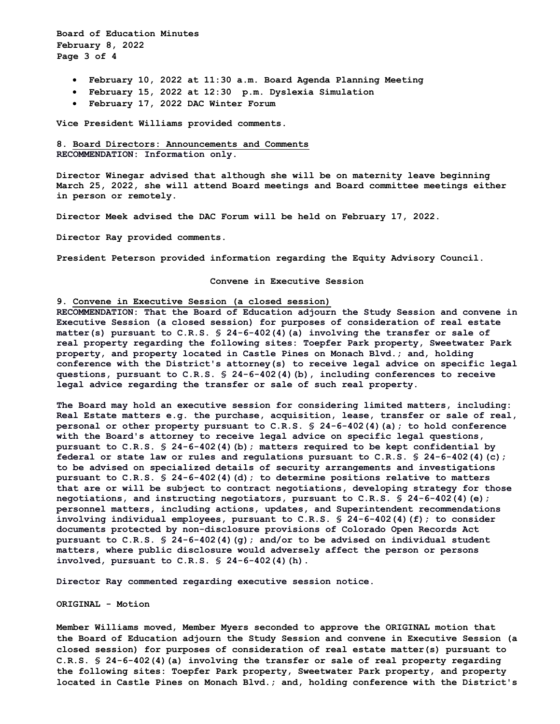**Board of Education Minutes February 8, 2022 Page 3 of 4** 

- **February 10, 2022 at 11:30 a.m. Board Agenda Planning Meeting**
- **February 15, 2022 at 12:30 p.m. Dyslexia Simulation**
- **February 17, 2022 DAC Winter Forum**

**Vice President Williams provided comments.** 

**8. Board Directors: Announcements and Comments RECOMMENDATION: Information only.**

**Director Winegar advised that although she will be on maternity leave beginning March 25, 2022, she will attend Board meetings and Board committee meetings either in person or remotely.** 

**Director Meek advised the DAC Forum will be held on February 17, 2022.** 

**Director Ray provided comments.** 

**President Peterson provided information regarding the Equity Advisory Council.** 

**Convene in Executive Session** 

## **9. Convene in Executive Session (a closed session)**

**RECOMMENDATION: That the Board of Education adjourn the Study Session and convene in Executive Session (a closed session) for purposes of consideration of real estate matter(s) pursuant to C.R.S. § 24-6-402(4)(a) involving the transfer or sale of real property regarding the following sites: Toepfer Park property, Sweetwater Park property, and property located in Castle Pines on Monach Blvd.; and, holding conference with the District's attorney(s) to receive legal advice on specific legal questions, pursuant to C.R.S. § 24-6-402(4)(b), including conferences to receive legal advice regarding the transfer or sale of such real property.**

**The Board may hold an executive session for considering limited matters, including: Real Estate matters e.g. the purchase, acquisition, lease, transfer or sale of real, personal or other property pursuant to C.R.S. § 24-6-402(4)(a); to hold conference with the Board's attorney to receive legal advice on specific legal questions, pursuant to C.R.S. § 24-6-402(4)(b); matters required to be kept confidential by federal or state law or rules and regulations pursuant to C.R.S. § 24-6-402(4)(c); to be advised on specialized details of security arrangements and investigations pursuant to C.R.S. § 24-6-402(4)(d); to determine positions relative to matters that are or will be subject to contract negotiations, developing strategy for those negotiations, and instructing negotiators, pursuant to C.R.S. § 24-6-402(4)(e); personnel matters, including actions, updates, and Superintendent recommendations involving individual employees, pursuant to C.R.S. § 24-6-402(4)(f); to consider documents protected by non-disclosure provisions of Colorado Open Records Act pursuant to C.R.S. § 24-6-402(4)(g); and/or to be advised on individual student matters, where public disclosure would adversely affect the person or persons involved, pursuant to C.R.S. § 24-6-402(4)(h).** 

**Director Ray commented regarding executive session notice.** 

**ORIGINAL - Motion** 

**Member Williams moved, Member Myers seconded to approve the ORIGINAL motion that the Board of Education adjourn the Study Session and convene in Executive Session (a closed session) for purposes of consideration of real estate matter(s) pursuant to C.R.S. § 24-6-402(4)(a) involving the transfer or sale of real property regarding the following sites: Toepfer Park property, Sweetwater Park property, and property located in Castle Pines on Monach Blvd.; and, holding conference with the District's**